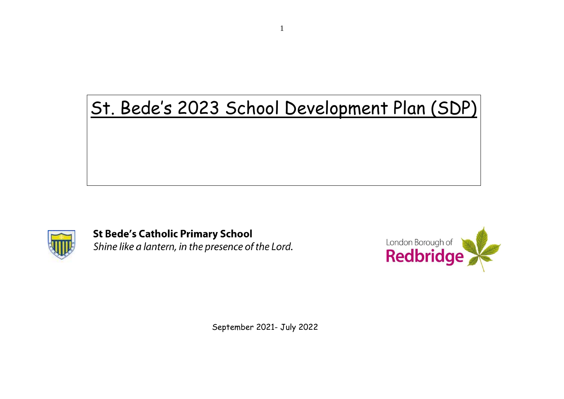# St. Bede's 2023 School Development Plan (SDP)



**St Bede's Catholic Primary School** Shine like a lantern, in the presence of the Lord.



September 2021- July 2022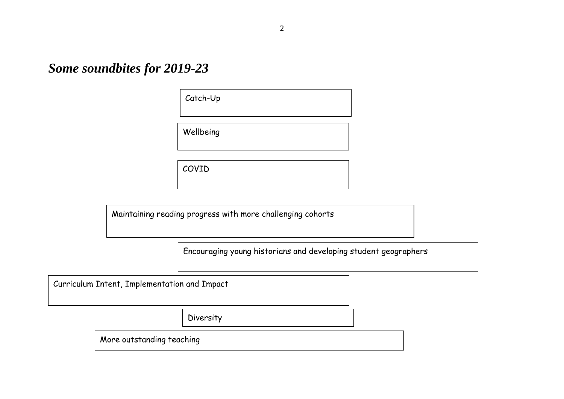*Some soundbites for 2019-23*

Catch-Up

Wellbeing

COVID

Maintaining reading progress with more challenging cohorts

Encouraging young historians and developing student geographers

Curriculum Intent, Implementation and Impact

Diversity

More outstanding teaching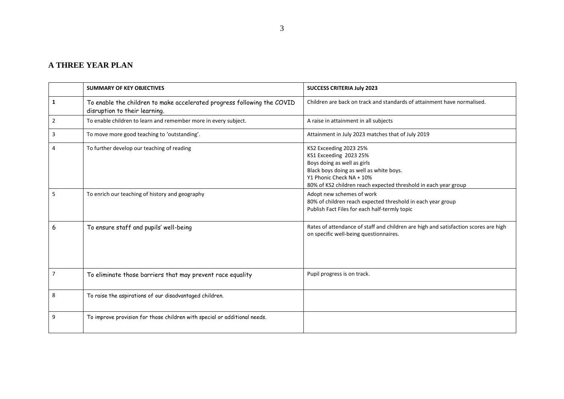#### **A THREE YEAR PLAN**

|   | <b>SUMMARY OF KEY OBJECTIVES</b>                                                                         | <b>SUCCESS CRITERIA July 2023</b>                                                                                                                                                                                         |
|---|----------------------------------------------------------------------------------------------------------|---------------------------------------------------------------------------------------------------------------------------------------------------------------------------------------------------------------------------|
| 1 | To enable the children to make accelerated progress following the COVID<br>disruption to their learning. | Children are back on track and standards of attainment have normalised.                                                                                                                                                   |
| 2 | To enable children to learn and remember more in every subject.                                          | A raise in attainment in all subjects                                                                                                                                                                                     |
| 3 | To move more good teaching to 'outstanding'.                                                             | Attainment in July 2023 matches that of July 2019                                                                                                                                                                         |
| 4 | To further develop our teaching of reading                                                               | KS2 Exceeding 2023 25%<br>KS1 Exceeding 2023 25%<br>Boys doing as well as girls<br>Black boys doing as well as white boys.<br>Y1 Phonic Check NA + 10%<br>80% of KS2 children reach expected threshold in each year group |
| 5 | To enrich our teaching of history and geography                                                          | Adopt new schemes of work<br>80% of children reach expected threshold in each year group<br>Publish Fact Files for each half-termly topic                                                                                 |
| 6 | To ensure staff and pupils' well-being                                                                   | Rates of attendance of staff and children are high and satisfaction scores are high<br>on specific well-being questionnaires.                                                                                             |
| 7 | To eliminate those barriers that may prevent race equality                                               | Pupil progress is on track.                                                                                                                                                                                               |
| 8 | To raise the aspirations of our disadvantaged children.                                                  |                                                                                                                                                                                                                           |
| 9 | To improve provision for those children with special or additional needs.                                |                                                                                                                                                                                                                           |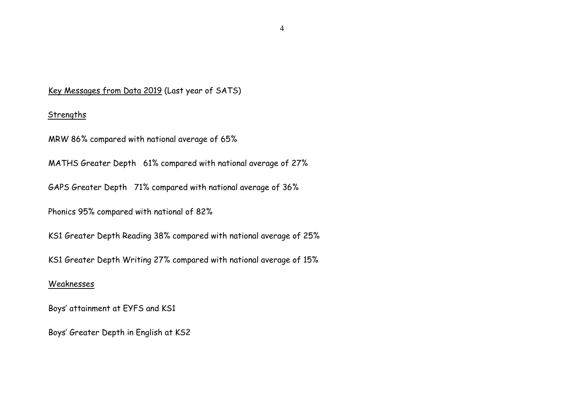#### Key Messages from Data 2019 (Last year of SATS)

#### Strengths

MRW 86% compared with national average of 65%

MATHS Greater Depth 61% compared with national average of 27%

GAPS Greater Depth 71% compared with national average of 36%

Phonics 95% compared with national of 82%

KS1 Greater Depth Reading 38% compared with national average of 25%

KS1 Greater Depth Writing 27% compared with national average of 15%

#### Weaknesses

Boys' attainment at EYFS and KS1

Boys' Greater Depth in English at KS2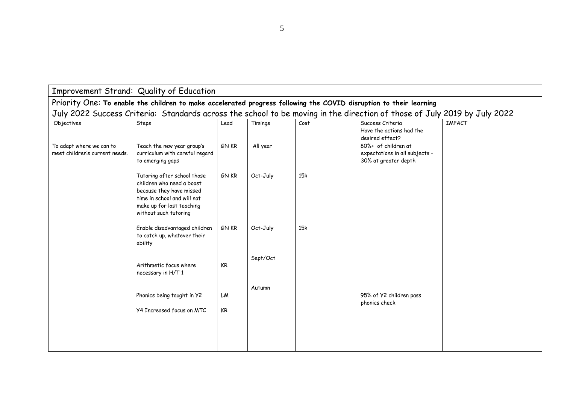|                                                                                                                          | Improvement Strand: Quality of Education                                                                                                                                  |                 |          |      |                                                                               |               |  |  |  |  |
|--------------------------------------------------------------------------------------------------------------------------|---------------------------------------------------------------------------------------------------------------------------------------------------------------------------|-----------------|----------|------|-------------------------------------------------------------------------------|---------------|--|--|--|--|
| Priority One: To enable the children to make accelerated progress following the COVID disruption to their learning       |                                                                                                                                                                           |                 |          |      |                                                                               |               |  |  |  |  |
| July 2022 Success Criteria: Standards across the school to be moving in the direction of those of July 2019 by July 2022 |                                                                                                                                                                           |                 |          |      |                                                                               |               |  |  |  |  |
| Objectives                                                                                                               | Steps                                                                                                                                                                     | Lead            | Timings  | Cost | Success Criteria<br>Have the actions had the<br>desired effect?               | <b>IMPACT</b> |  |  |  |  |
| To adapt where we can to<br>meet children's current needs.                                                               | Teach the new year group's<br>curriculum with careful regard<br>to emerging gaps                                                                                          | <b>GN KR</b>    | All year |      | 80%+ of children at<br>expectations in all subjects -<br>30% at greater depth |               |  |  |  |  |
|                                                                                                                          | Tutoring after school those<br>children who need a boost<br>because they have missed<br>time in school and will not<br>make up for lost teaching<br>without such tutoring | <b>GN KR</b>    | Oct-July | 15k  |                                                                               |               |  |  |  |  |
|                                                                                                                          | Enable disadvantaged children<br>to catch up, whatever their<br>ability                                                                                                   | <b>GN KR</b>    | Oct-July | 15k  |                                                                               |               |  |  |  |  |
|                                                                                                                          | Arithmetic focus where<br>necessary in H/T1                                                                                                                               | <b>KR</b>       | Sept/Oct |      |                                                                               |               |  |  |  |  |
|                                                                                                                          | Phonics being taught in Y2<br><b>Y4 Increased focus on MTC</b>                                                                                                            | LM<br><b>KR</b> | Autumn   |      | 95% of Y2 children pass<br>phonics check                                      |               |  |  |  |  |
|                                                                                                                          |                                                                                                                                                                           |                 |          |      |                                                                               |               |  |  |  |  |

5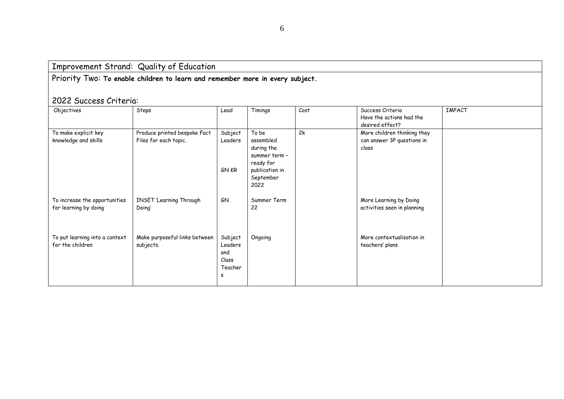Priority Two: **To enable children to learn and remember more in every subject.**

## 2022 Success Criteria:

| Objectives                                             | Steps                                                 | Lead                                               | Timings                                                                                               | Cost | Success Criteria<br>Have the actions had the<br>desired effect?    | <b>IMPACT</b> |
|--------------------------------------------------------|-------------------------------------------------------|----------------------------------------------------|-------------------------------------------------------------------------------------------------------|------|--------------------------------------------------------------------|---------------|
| To make explicit key<br>knowledge and skills           | Produce printed bespoke Fact<br>Files for each topic. | Subject<br>Leaders<br><b>GN KR</b>                 | To be<br>assembled<br>during the<br>summer term -<br>ready for<br>publication in<br>September<br>2022 | 2k   | More children thinking they<br>can answer 3P questions in<br>class |               |
| To increase the opportunities<br>for learning by doing | <b>INSET 'Learning Through</b><br>Doing'              | GN                                                 | Summer Term<br>22                                                                                     |      | More Learning by Doing<br>activities seen in planning              |               |
| To put learning into a context<br>for the children     | Make purposeful links between<br>subjects.            | Subject<br>Leaders<br>and<br>Class<br>Teacher<br>s | Ongoing                                                                                               |      | More contextualisation in<br>teachers' plans                       |               |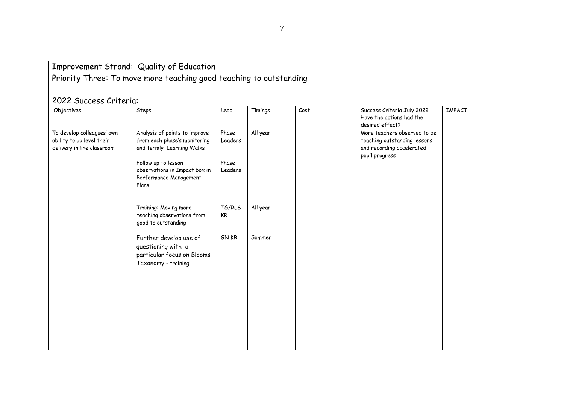# Priority Three: To move more teaching good teaching to outstanding

## 2022 Success Criteria:

| Objectives                 | Steps                         | Lead    | Timings  | Cost | Success Criteria July 2022   | <b>IMPACT</b> |
|----------------------------|-------------------------------|---------|----------|------|------------------------------|---------------|
|                            |                               |         |          |      | Have the actions had the     |               |
|                            |                               |         |          |      | desired effect?              |               |
| To develop colleagues' own | Analysis of points to improve | Phase   | All year |      | More teachers observed to be |               |
| ability to up level their  | from each phase's monitoring  | Leaders |          |      | teaching outstanding lessons |               |
| delivery in the classroom  | and termly Learning Walks     |         |          |      | and recording accelerated    |               |
|                            |                               |         |          |      | pupil progress               |               |
|                            | Follow up to lesson           | Phase   |          |      |                              |               |
|                            | observations in Impact box in | Leaders |          |      |                              |               |
|                            | Performance Management        |         |          |      |                              |               |
|                            | Plans                         |         |          |      |                              |               |
|                            |                               |         |          |      |                              |               |
|                            |                               |         |          |      |                              |               |
|                            | Training: Moving more         | TG/RLS  | All year |      |                              |               |
|                            | teaching observations from    | KR      |          |      |                              |               |
|                            | good to outstanding           |         |          |      |                              |               |
|                            |                               |         |          |      |                              |               |
|                            | Further develop use of        | GN KR   | Summer   |      |                              |               |
|                            | questioning with a            |         |          |      |                              |               |
|                            | particular focus on Blooms    |         |          |      |                              |               |
|                            | Taxonomy - training           |         |          |      |                              |               |
|                            |                               |         |          |      |                              |               |
|                            |                               |         |          |      |                              |               |
|                            |                               |         |          |      |                              |               |
|                            |                               |         |          |      |                              |               |
|                            |                               |         |          |      |                              |               |
|                            |                               |         |          |      |                              |               |
|                            |                               |         |          |      |                              |               |
|                            |                               |         |          |      |                              |               |
|                            |                               |         |          |      |                              |               |
|                            |                               |         |          |      |                              |               |
|                            |                               |         |          |      |                              |               |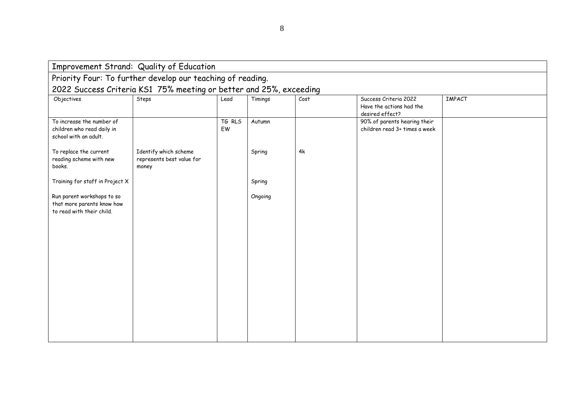|                                                                                       | Improvement Strand: Quality of Education                    |              |         |      |                                                                      |               |  |  |  |  |
|---------------------------------------------------------------------------------------|-------------------------------------------------------------|--------------|---------|------|----------------------------------------------------------------------|---------------|--|--|--|--|
|                                                                                       | Priority Four: To further develop our teaching of reading.  |              |         |      |                                                                      |               |  |  |  |  |
| 2022 Success Criteria KS1 75% meeting or better and 25%, exceeding                    |                                                             |              |         |      |                                                                      |               |  |  |  |  |
| Objectives                                                                            | Steps                                                       | Lead         | Timings | Cost | Success Criteria 2022<br>Have the actions had the<br>desired effect? | <b>IMPACT</b> |  |  |  |  |
| To increase the number of<br>children who read daily in<br>school with an adult.      |                                                             | TG RLS<br>EW | Autumn  |      | 90% of parents hearing their<br>children read 3+ times a week        |               |  |  |  |  |
| To replace the current<br>reading scheme with new<br>books.                           | Identify which scheme<br>represents best value for<br>money |              | Spring  | 4k   |                                                                      |               |  |  |  |  |
| Training for staff in Project X                                                       |                                                             |              | Spring  |      |                                                                      |               |  |  |  |  |
| Run parent workshops to so<br>that more parents know how<br>to read with their child. |                                                             |              | Ongoing |      |                                                                      |               |  |  |  |  |
|                                                                                       |                                                             |              |         |      |                                                                      |               |  |  |  |  |
|                                                                                       |                                                             |              |         |      |                                                                      |               |  |  |  |  |
|                                                                                       |                                                             |              |         |      |                                                                      |               |  |  |  |  |
|                                                                                       |                                                             |              |         |      |                                                                      |               |  |  |  |  |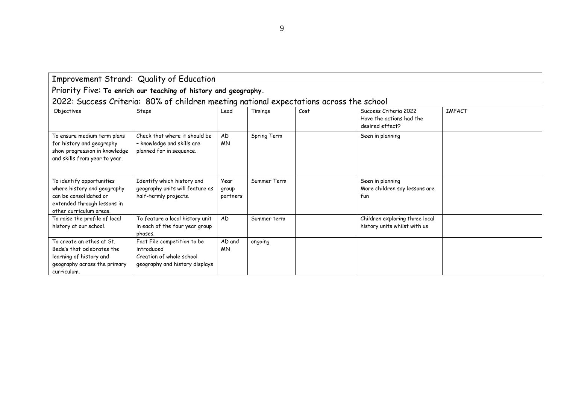| Improvement Strand: Quality of Education |  |  |  |
|------------------------------------------|--|--|--|
|------------------------------------------|--|--|--|

Priority Five: **To enrich our teaching of history and geography.**

| 2022: Success Criteria: 80% of children meeting national expectations across the school |  |  |  |  |
|-----------------------------------------------------------------------------------------|--|--|--|--|
|                                                                                         |  |  |  |  |

|                                                                                                                                              | <u>ULL. Oddoodd Uniformal Oo M Uniformal Unifilouting naffundial Oxpochationd achodd thio donoon</u>    |                           |             |      |                                                                      |               |
|----------------------------------------------------------------------------------------------------------------------------------------------|---------------------------------------------------------------------------------------------------------|---------------------------|-------------|------|----------------------------------------------------------------------|---------------|
| Objectives                                                                                                                                   | Steps                                                                                                   | Lead                      | Timings     | Cost | Success Criteria 2022<br>Have the actions had the<br>desired effect? | <b>IMPACT</b> |
| To ensure medium term plans<br>for history and geography<br>show progression in knowledge<br>and skills from year to year.                   | Check that where it should be<br>- knowledge and skills are<br>planned for in sequence.                 | AD<br><b>MN</b>           | Spring Term |      | Seen in planning                                                     |               |
| To identify opportunities<br>where history and geography<br>can be consolidated or<br>extended through lessons in<br>other curriculum areas. | Identify which history and<br>geography units will feature as<br>half-termly projects.                  | Year<br>group<br>partners | Summer Term |      | Seen in planning<br>More children say lessons are<br>fun             |               |
| To raise the profile of local<br>history at our school.                                                                                      | To feature a local history unit<br>in each of the four year group<br>phases.                            | <b>AD</b>                 | Summer term |      | Children exploring three local<br>history units whilst with us       |               |
| To create an ethos at St.<br>Bede's that celebrates the<br>learning of history and<br>geography across the primary<br>curriculum.            | Fact File competition to be<br>introduced<br>Creation of whole school<br>geography and history displays | AD and<br><b>MN</b>       | ongoing     |      |                                                                      |               |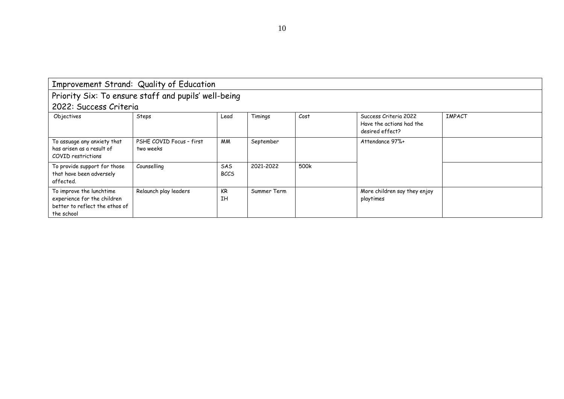|                                                                                                         | Improvement Strand: Quality of Education             |                           |             |      |                                                                      |               |
|---------------------------------------------------------------------------------------------------------|------------------------------------------------------|---------------------------|-------------|------|----------------------------------------------------------------------|---------------|
|                                                                                                         | Priority Six: To ensure staff and pupils' well-being |                           |             |      |                                                                      |               |
| 2022: Success Criteria                                                                                  |                                                      |                           |             |      |                                                                      |               |
| Objectives                                                                                              | Steps                                                | Lead                      | Timings     | Cost | Success Criteria 2022<br>Have the actions had the<br>desired effect? | <b>IMPACT</b> |
| To assuage any anxiety that<br>has arisen as a result of<br>COVID restrictions                          | PSHE COVID Focus - first<br>two weeks                | МM                        | September   |      | Attendance 97%+                                                      |               |
| To provide support for those<br>that have been adversely<br>affected.                                   | Counselling                                          | <b>SAS</b><br><b>BCCS</b> | 2021-2022   | 500k |                                                                      |               |
| To improve the lunchtime<br>experience for the children<br>better to reflect the ethos of<br>the school | Relaunch play leaders                                | KR<br><b>IH</b>           | Summer Term |      | More children say they enjoy<br>playtimes                            |               |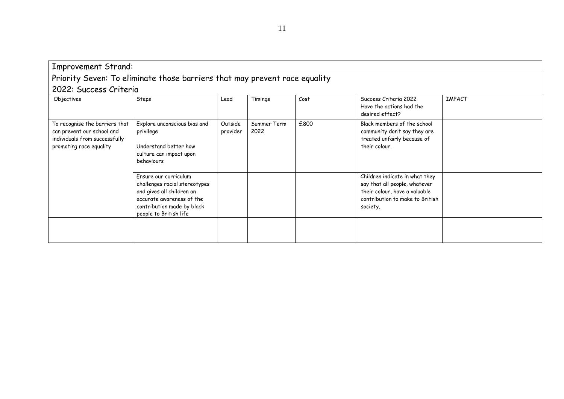| <b>Improvement Strand:</b>                                                                                               |                                                                                                                                                                          |                     |                     |      |                                                                                                                                                 |               |
|--------------------------------------------------------------------------------------------------------------------------|--------------------------------------------------------------------------------------------------------------------------------------------------------------------------|---------------------|---------------------|------|-------------------------------------------------------------------------------------------------------------------------------------------------|---------------|
|                                                                                                                          | Priority Seven: To eliminate those barriers that may prevent race equality                                                                                               |                     |                     |      |                                                                                                                                                 |               |
| 2022: Success Criteria                                                                                                   |                                                                                                                                                                          |                     |                     |      |                                                                                                                                                 |               |
| Objectives                                                                                                               | Steps                                                                                                                                                                    | Lead                | Timings             | Cost | Success Criteria 2022<br>Have the actions had the<br>desired effect?                                                                            | <b>IMPACT</b> |
| To recognise the barriers that<br>can prevent our school and<br>individuals from successfully<br>promoting race equality | Explore unconscious bias and<br>privilege<br>Understand better how<br>culture can impact upon<br>behaviours                                                              | Outside<br>provider | Summer Term<br>2022 | £800 | Black members of the school<br>community don't say they are<br>treated unfairly because of<br>their colour.                                     |               |
|                                                                                                                          | Ensure our curriculum<br>challenges racial stereotypes<br>and gives all children an<br>accurate awareness of the<br>contribution made by black<br>people to British life |                     |                     |      | Children indicate in what they<br>say that all people, whatever<br>their colour, have a valuable<br>contribution to make to British<br>society. |               |
|                                                                                                                          |                                                                                                                                                                          |                     |                     |      |                                                                                                                                                 |               |